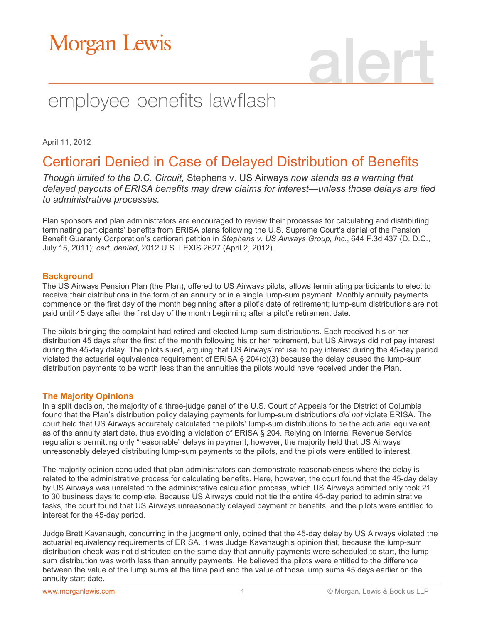# Morgan Lewis

# employee benefits lawflash

April 11, 2012

### Certiorari Denied in Case of Delayed Distribution of Benefits

*Though limited to the D.C. Circuit,* Stephens v. US Airways *now stands as a warning that delayed payouts of ERISA benefits may draw claims for interest—unless those delays are tied to administrative processes.*

Plan sponsors and plan administrators are encouraged to review their processes for calculating and distributing terminating participants' benefits from ERISA plans following the U.S. Supreme Court's denial of the Pension Benefit Guaranty Corporation's certiorari petition in *Stephens v. US Airways Group, Inc.*, 644 F.3d 437 (D. D.C., July 15, 2011); *cert. denied*, 2012 U.S. LEXIS 2627 (April 2, 2012).

#### **Background**

The US Airways Pension Plan (the Plan), offered to US Airways pilots, allows terminating participants to elect to receive their distributions in the form of an annuity or in a single lump-sum payment. Monthly annuity payments commence on the first day of the month beginning after a pilot's date of retirement; lump-sum distributions are not paid until 45 days after the first day of the month beginning after a pilot's retirement date.

The pilots bringing the complaint had retired and elected lump-sum distributions. Each received his or her distribution 45 days after the first of the month following his or her retirement, but US Airways did not pay interest during the 45-day delay. The pilots sued, arguing that US Airways' refusal to pay interest during the 45-day period violated the actuarial equivalence requirement of ERISA § 204(c)(3) because the delay caused the lump-sum distribution payments to be worth less than the annuities the pilots would have received under the Plan.

### **The Majority Opinions**

In a split decision, the majority of a three-judge panel of the U.S. Court of Appeals for the District of Columbia found that the Plan's distribution policy delaying payments for lump-sum distributions *did not* violate ERISA. The court held that US Airways accurately calculated the pilots' lump-sum distributions to be the actuarial equivalent as of the annuity start date, thus avoiding a violation of ERISA § 204. Relying on Internal Revenue Service regulations permitting only "reasonable" delays in payment, however, the majority held that US Airways unreasonably delayed distributing lump-sum payments to the pilots, and the pilots were entitled to interest.

The majority opinion concluded that plan administrators can demonstrate reasonableness where the delay is related to the administrative process for calculating benefits. Here, however, the court found that the 45-day delay by US Airways was unrelated to the administrative calculation process, which US Airways admitted only took 21 to 30 business days to complete. Because US Airways could not tie the entire 45-day period to administrative tasks, the court found that US Airways unreasonably delayed payment of benefits, and the pilots were entitled to interest for the 45-day period.

Judge Brett Kavanaugh, concurring in the judgment only, opined that the 45-day delay by US Airways violated the actuarial equivalency requirements of ERISA. It was Judge Kavanaugh's opinion that, because the lump-sum distribution check was not distributed on the same day that annuity payments were scheduled to start, the lumpsum distribution was worth less than annuity payments. He believed the pilots were entitled to the difference between the value of the lump sums at the time paid and the value of those lump sums 45 days earlier on the annuity start date.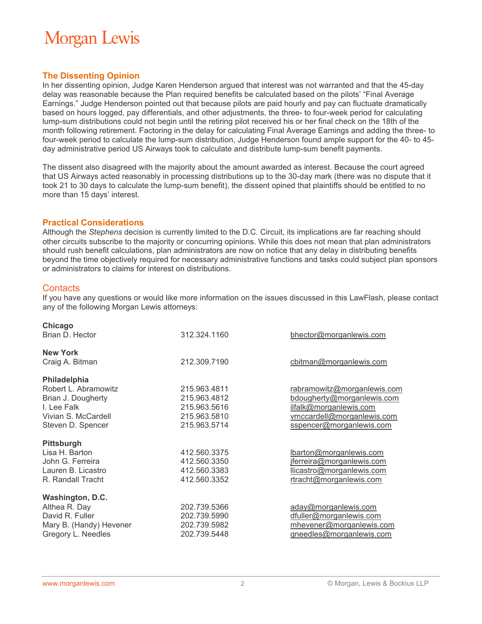# **Morgan Lewis**

### **The Dissenting Opinion**

In her dissenting opinion, Judge Karen Henderson argued that interest was not warranted and that the 45-day delay was reasonable because the Plan required benefits be calculated based on the pilots' "Final Average Earnings." Judge Henderson pointed out that because pilots are paid hourly and pay can fluctuate dramatically based on hours logged, pay differentials, and other adjustments, the three- to four-week period for calculating lump-sum distributions could not begin until the retiring pilot received his or her final check on the 18th of the month following retirement. Factoring in the delay for calculating Final Average Earnings and adding the three- to four-week period to calculate the lump-sum distribution, Judge Henderson found ample support for the 40- to 45 day administrative period US Airways took to calculate and distribute lump-sum benefit payments.

The dissent also disagreed with the majority about the amount awarded as interest. Because the court agreed that US Airways acted reasonably in processing distributions up to the 30-day mark (there was no dispute that it took 21 to 30 days to calculate the lump-sum benefit), the dissent opined that plaintiffs should be entitled to no more than 15 days' interest.

#### **Practical Considerations**

Although the *Stephens* decision is currently limited to the D.C. Circuit, its implications are far reaching should other circuits subscribe to the majority or concurring opinions. While this does not mean that plan administrators should rush benefit calculations, plan administrators are now on notice that any delay in distributing benefits beyond the time objectively required for necessary administrative functions and tasks could subject plan sponsors or administrators to claims for interest on distributions.

### **Contacts**

If you have any questions or would like more information on the issues discussed in this LawFlash, please contact any of the following Morgan Lewis attorneys:

| Chicago<br>Brian D. Hector                                                                                            | 312.324.1160                                                                 | bhector@morganlewis.com                                                                                                                       |
|-----------------------------------------------------------------------------------------------------------------------|------------------------------------------------------------------------------|-----------------------------------------------------------------------------------------------------------------------------------------------|
| <b>New York</b><br>Craig A. Bitman                                                                                    | 212.309.7190                                                                 | cbitman@morganlewis.com                                                                                                                       |
| Philadelphia<br>Robert L. Abramowitz<br>Brian J. Dougherty<br>I. Lee Falk<br>Vivian S. McCardell<br>Steven D. Spencer | 215.963.4811<br>215.963.4812<br>215.963.5616<br>215.963.5810<br>215.963.5714 | rabramowitz@morganlewis.com<br>bdougherty@morganlewis.com<br>ilfalk@morganlewis.com<br>vmccardell@morganlewis.com<br>sspencer@morganlewis.com |
| <b>Pittsburgh</b><br>Lisa H. Barton<br>John G. Ferreira<br>Lauren B. Licastro<br>R. Randall Tracht                    | 412.560.3375<br>412.560.3350<br>412.560.3383<br>412.560.3352                 | lbarton@morganlewis.com<br>jferreira@morganlewis.com<br>llicastro@morganlewis.com<br>rtracht@morganlewis.com                                  |
| Washington, D.C.<br>Althea R. Day<br>David R. Fuller<br>Mary B. (Handy) Hevener<br>Gregory L. Needles                 | 202.739.5366<br>202.739.5990<br>202.739.5982<br>202.739.5448                 | aday@morganlewis.com<br>dfuller@morganlewis.com<br>mhevener@morganlewis.com<br>gneedles@morganlewis.com                                       |